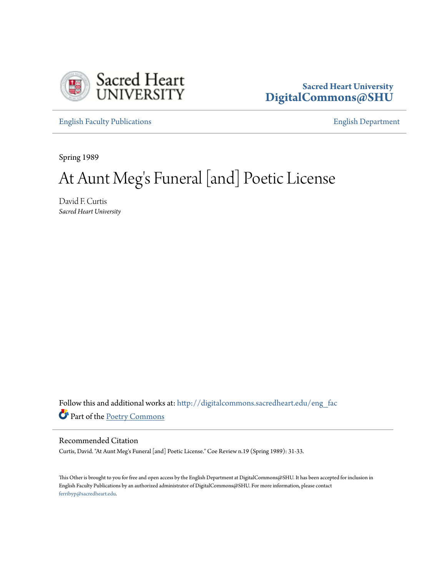

#### **Sacred Heart University [DigitalCommons@SHU](http://digitalcommons.sacredheart.edu?utm_source=digitalcommons.sacredheart.edu%2Feng_fac%2F74&utm_medium=PDF&utm_campaign=PDFCoverPages)**

[English Faculty Publications](http://digitalcommons.sacredheart.edu/eng_fac?utm_source=digitalcommons.sacredheart.edu%2Feng_fac%2F74&utm_medium=PDF&utm_campaign=PDFCoverPages) [English Department](http://digitalcommons.sacredheart.edu/eng?utm_source=digitalcommons.sacredheart.edu%2Feng_fac%2F74&utm_medium=PDF&utm_campaign=PDFCoverPages)

Spring 1989

# At Aunt Meg 's Funeral [and] Poetic License

David F. Curtis *Sacred Heart University*

Follow this and additional works at: [http://digitalcommons.sacredheart.edu/eng\\_fac](http://digitalcommons.sacredheart.edu/eng_fac?utm_source=digitalcommons.sacredheart.edu%2Feng_fac%2F74&utm_medium=PDF&utm_campaign=PDFCoverPages) Part of the [Poetry Commons](http://network.bepress.com/hgg/discipline/1153?utm_source=digitalcommons.sacredheart.edu%2Feng_fac%2F74&utm_medium=PDF&utm_campaign=PDFCoverPages)

#### Recommended Citation

Curtis, David. "At Aunt Meg's Funeral [and] Poetic License." Coe Review n.19 (Spring 1989): 31-33.

This Other is brought to you for free and open access by the English Department at DigitalCommons@SHU. It has been accepted for inclusion in English Faculty Publications by an authorized administrator of DigitalCommons@SHU. For more information, please contact [ferribyp@sacredheart.edu](mailto:ferribyp@sacredheart.edu).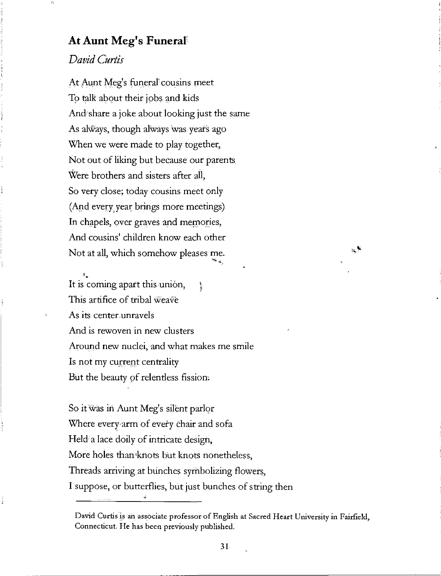#### **A t Aun t Meg' s Funera l**

### *David Curtis*

Pot in a

At Aunt Meg's funeral<sup>t</sup> cousins meet To talk about their jobs and kids And share a joke about looking just the same As always, though always was years ago When we were made to play together, Not out of liking but because our parents, Were brothers and sisters after all, So very close; today cousins meet only (And every year brings more meetings) In chapels, over graves and memories, And cousins' children know each other Not at all, which somehow pleases me.

It is coming apart this union,  $\ddot{\hspace{1ex}}$ This artifice of tribal weave As its center unravels And is rewoven in new clusters Around new nuclei, and what makes me smile Is not my current centrality But the beauty of relentless fission:

So it was in Aunt Meg's silent parlor Where every arm of every chair and sofa Held<sup>a</sup> lace doily of intricate design, More holes than<sup>\*</sup>knots but knots nonetheless, Threads arriving at bunches symbolizing flowers, I suppose, or butterflies, but just bunches of string then  $\sim$ 

David Curtis is ah associate professor of English at Sacred Heart University in Fairfield, Connecticut. He has been previously published.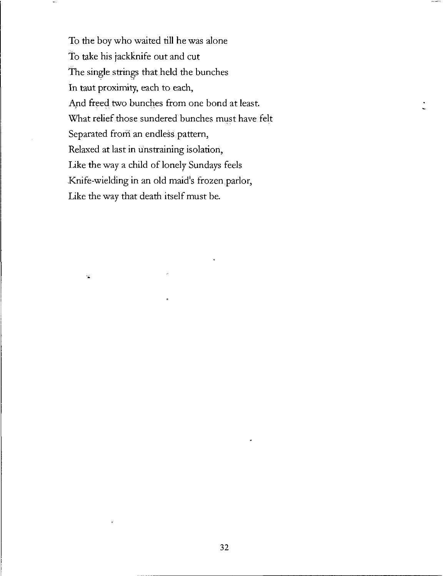To the boy who waited till he was alone To take his jackknife out and cut The single strings that held the bunches In taut proximity, each to each, And freed two bunches from one bond at least. What relief those sundered bunches must have felt Separated from an endless pattern, Relaxed at last in unstraining isolation, Like the way a child of lonely Sundays feels Knife-wielding in an old maid's frozen parlor, Like the way that death itself must be.

YÉ.